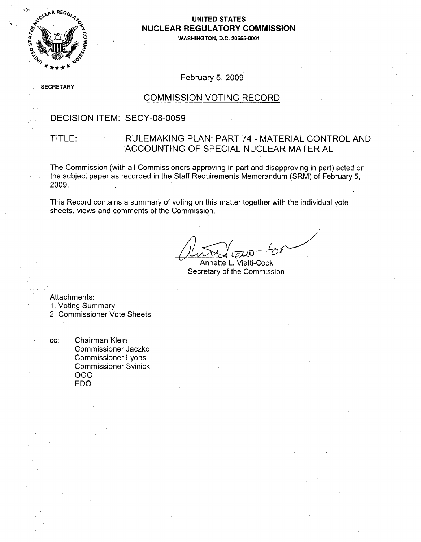

#### **UNITED STATES NUCLEAR** REGULATORY **COMMISSION**

**\_0 WASHINGTON, D.C. 20555-0001**

### February 5, 2009

**SE** CRETARY

#### COMMISSION VOTING RECORD

#### DECISION ITEM: SECY-08-0059

### TITLE: RULEMAKING PLAN: PART 74 - MATERIAL CONTROL AND ACCOUNTING OF SPECIAL NUCLEAR MATERIAL

The Commission (with all Commissioners approving in part and disapproving in part) acted on the subject paper as recorded in the Staff Requirements Memorandum (SRM) of February 5, 2009.

This Record contains a summary of voting on this matter together with the individual vote sheets, views and comments of the Commission.

Annette L. Vietti-Cook Secretary of the Commission

Attachments:

1. Voting Summary

2. Commissioner Vote Sheets

cc: Chairman Klein Commissioner Jaczko Commissioner Lyons Commissioner Svinicki OGC EDO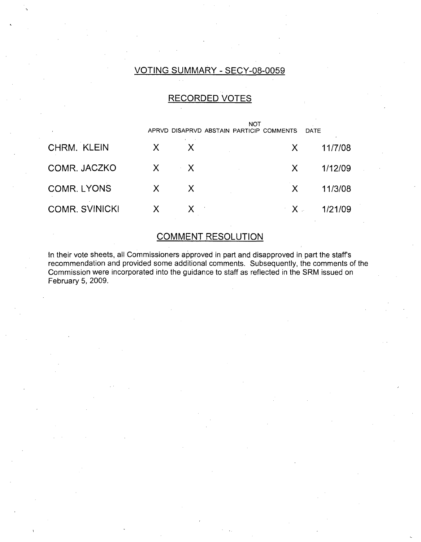## VOTING SUMMARY - SECY-08-0059

# RECORDED VOTES

|                       |              |              | NOT<br>APRVD DISAPRVD ABSTAIN PARTICIP COMMENTS |                | DATE    |
|-----------------------|--------------|--------------|-------------------------------------------------|----------------|---------|
| CHRM. KLEIN           | $\mathsf{X}$ | X            |                                                 | X.             | 11/7/08 |
| COMR. JACZKO          |              | $X \times X$ |                                                 | X.             | 1/12/09 |
| <b>COMR. LYONS</b>    | $\mathsf{X}$ | X.           |                                                 | X.             | 11/3/08 |
| <b>COMR. SVINICKI</b> | X            | $X = 1$      |                                                 | $\mathbf{X}$ . | 1/21/09 |

# COMMENT RESOLUTION

In their vote sheets, all Commissioners approved in part and disapproved in part the staff's recommendation and provided some additional comments. Subsequently, the comments of the Commission were incorporated into the guidance to staff as reflected in the SRM issued on February 5, 2009.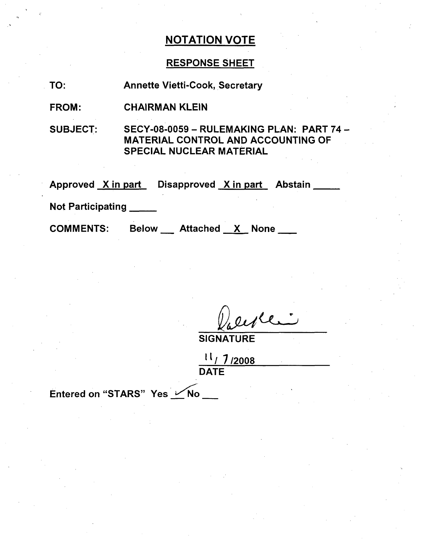# RESPONSE SHEET

TO: Annette Vietti-Cook, Secretary

FROM: CHAIRMAN KLEIN

SUBJECT:

SECY-08-0059 - RULEMAKING PLAN: PART 74 **-** MATERIAL CONTROL AND ACCOUNTING OF SPECIAL NUCLEAR MATERIAL

Approved <u>X in part</u> Disapproved <u>X in part</u> Abstair

Not Participating

**COMMENTS:** 

Attached X None

**SIGNATURE** 

**It/** 7/2008 **DATE** 

Entered on "STARS" Yes VNo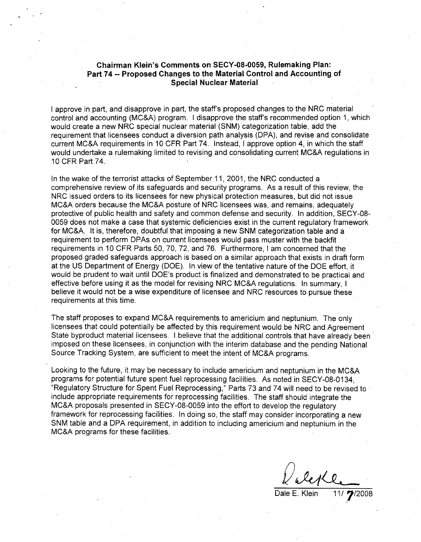#### Chairman Klein's Comments on **SECY-08-0059,** Rulemaking Plan: Part 74 -- Proposed Changes to the Material Control and Accounting of Special Nuclear Material

**I** approve in part, and disapprove in part, the staff's proposed changes to the NRC material control and accounting (MC&A) program. I disapprove the staff's recommended option 1, which would create a new NRC special nuclear material (SNM) categorization table, add the requirement that licensees conduct a diversion path analysis (DPA), and revise and consolidate current MC&A requirements in 10 CFR Part 74. Instead, I approve option 4, in which the staff would undertake a rulemaking limited to revising and consolidating current MC&A regulations in 10 CFR Part 74.

In the wake of the terrorist attacks of September 11, 2001, the NRC conducted a comprehensive review of its safeguards and security programs. As a result of this review, the NRC issued orders to its licensees for new physical protection measures, but did not issue MC&A orders because the MC&A posture of NRC licensees was, and remains, adequately protective of public health and safety and common defense and security. In addition,. SECY-08- 0059 does not make a case that systemic deficiencies exist in the current regulatory framework for MC&A. It is, therefore, doubtful that imposing a new SNM categorization table and a requirement to perform DPAs on current licensees would pass muster with the backfit requirements in 10 CFR Parts 50, 70, 72, and 76. Furthermore, I am concerned that the proposed graded safeguards approach is based on a similar approach that exists in draft form at the US Department of Energy (DOE). In view of the tentative nature of the DOE effort, it would be prudent to wait until DOE's product is finalized and demonstrated to be practical and effective before using it as the model for revising NRC MC&A regulations. In summary, I believe it would not be a wise expenditure of licensee and NRC resources to pursue these requirements at this time.

The staff proposes to expand MC&A requirements to americium and neptunium. The only licensees that could potentially be affected by this requirement would be NRC and Agreement State byproduct material licensees. I believe that the additional controls that have already been imposed on these licensees, in conjunction with the interim database and the pending National Source Tracking System, are sufficient to meet the intent of MC&A programs.

Looking to the future, it may be necessary to include americium and neptunium in the MC&A programs for potential future spent fuel reprocessing facilities. As noted in SECY-08-0134, "Regulatory Structure for Spent Fuel Reprocessing," Parts 73 and 74 will need to be revised to include appropriate requirements for reprocessing facilities. The staff should integrate the MC&A proposals presented in SECY-08-0059 into the effort to develop the regulatory framework for reprocessing facilities. In doing so, the staff may consider incorporating a new SNM table and a DPA requirement, in addition to including americium and neptunium in the MC&A programs for these facilities.

<u>leg (e. 11/7/2008</u>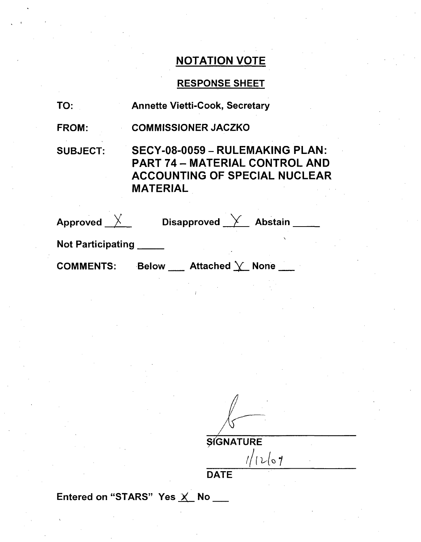# RESPONSE SHEET

| TO:                                | <b>Annette Vietti-Cook, Secretary</b>                                                                                        |
|------------------------------------|------------------------------------------------------------------------------------------------------------------------------|
| <b>FROM:</b>                       | <b>COMMISSIONER JACZKO</b>                                                                                                   |
| <b>SUBJECT:</b>                    | SECY-08-0059 - RULEMAKING PLAN:<br>PART 74 – MATERIAL CONTROL AND<br><b>ACCOUNTING OF SPECIAL NUCLEAR</b><br><b>MATERIAL</b> |
| Approved $\overline{\mathsf{X}}$ . | Disapproved Y Abstain                                                                                                        |
|                                    |                                                                                                                              |

Not Participating **\_**

COMMENTS: Below \_\_\_\_ Attached  $\searrow$  None \_\_\_

> $\frac{1}{\sqrt{1-\frac{1}{\sqrt{1-\frac{1}{\sqrt{1-\frac{1}{\sqrt{1-\frac{1}{\sqrt{1-\frac{1}{\sqrt{1-\frac{1}{\sqrt{1-\frac{1}{\sqrt{1-\frac{1}{\sqrt{1-\frac{1}{\sqrt{1-\frac{1}{\sqrt{1-\frac{1}{\sqrt{1-\frac{1}{\sqrt{1-\frac{1}{\sqrt{1-\frac{1}{\sqrt{1-\frac{1}{\sqrt{1-\frac{1}{\sqrt{1-\frac{1}{\sqrt{1-\frac{1}{\sqrt{1-\frac{1}{\sqrt{1-\frac{1}{\sqrt{1-\frac{1}{\sqrt{1-\frac{1}{\sqrt{1-\frac{1}{\sqrt{1-\frac{1$ **DATE**

Entered on "STARS" Yes X No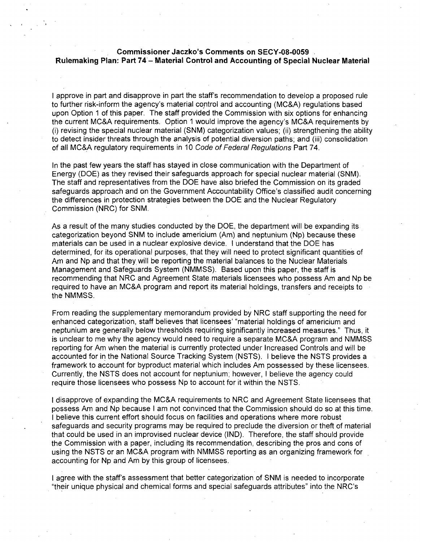#### Commissioner Jaczko's Comments on **SECY-08-0059** Rulemaking Plan: Part 74 - Material Control and Accounting of Special Nuclear Material

I approve in part and disapprove in part the staff's recommendation to develop a proposed rule to further risk-inform the agency's material control and accounting (MC&A) regulations based upon Option 1 of this paper. The staff provided the Commission with six options for enhancing the current MC&A requirements. Option 1 would improve the agency's MC&A requirements by (i) revising the special nuclear material (SNM) categorization values; (ii) strengthening the ability to detect insider threats through the analysis of potential diversion paths; and (iii) consolidation of all MC&A regulatory requirements in 10 *Code of Federal Regulations* Part 74.

In the past few years the staff has stayed in close communication with the Department of Energy (DOE) as they revised their safeguards approach for special nuclear material (SNM). The staff and representatives from the DOE have also briefed the Commission on its graded safeguards approach and on the Government Accountability Office's classified audit concerning the differences in protection strategies between the DOE and the Nuclear Regulatory Commission (NRC) for SNM.

As a result of the many studies conducted by the DOE, the department will be expanding its categorization beyond SNM to include americium (Am) and neptunium (Np) because these materials can be used in a nuclear explosive device. I understand that the DOE has determined, for its operational purposes, that they will need to protect significant quantities of Am and Np and that they will be reporting the material balances to the Nuclear Materials Management and Safeguards System (NMMSS). Based upon this paper, the staff is recommending that NRC and Agreement State materials licensees who possess Am and Np be required to have an MC&A program and report its material holdings, transfers and receipts to the NMMSS.

From reading the supplementary memorandum provided by NRC staff supporting the need for enhanced categorization, staff believes that licensees' "material holdings of americium and neptunium are generally below thresholds requiring significantly increased measures." Thus, it is unclear to me why the agency would need to require a separate MC&A program and NMMSS reporting for Am when the material is currently protected under Increased Controls and will be accounted for in the National Source Tracking System (NSTS). I believe the NSTS provides a framework to account for byproduct material which includes Am possessed by these licensees. Currently, the NSTS does not account for neptunium; however, I believe the agency could require those licensees who possess Np to account for it within the NSTS.

I disapprove of expanding the MC&A requirements to NRC and Agreement State licensees that possess Am and Np because I am not convinced that the Commission should do so at this time. I believe this current effort should focus on facilities and operations where more robust safeguards and security programs may be required to preclude the diversion or theft of material that could be used in an improvised nuclear device (IND). Therefore, the staff should provide the Commission with a paper, including its recommendation, describing the pros and cons of using the NSTS or an MC&A program with NMMSS reporting as an organizing framework for accounting for Np and Am by this group of licensees.

I agree with the staff's assessment that better categorization of SNM is needed to incorporate "their unique physical and chemical forms and special safeguards attributes" into the NRC's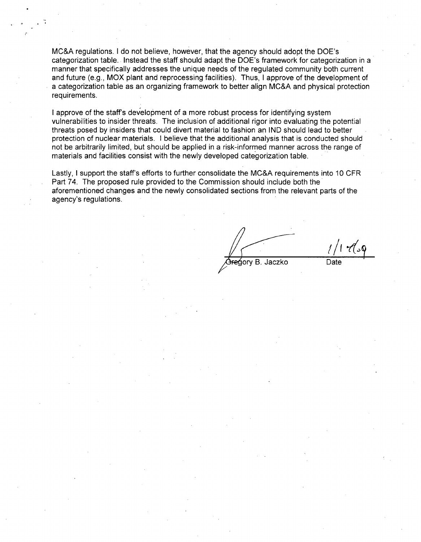MC&A regulations. I do not believe, however, that the agency should adopt the DOE's categorization table. Instead the staff should adapt the DOE's framework for categorization in a manner that specifically addresses the unique needs of the regulated community both current and future (e.g., MOX plant and reprocessing facilities). Thus, I approve of the development of a categorization table as an organizing framework to better align MC&A and physical protection requirements.

I approve of the staff's development of a more robust process for identifying system vulnerabilities to insider threats. The inclusion of additional rigor into evaluating the potential threats posed by insiders that could divert material to fashion an IND should lead to better protection of nuclear materials. I believe that the additional analysis that is conducted should not be arbitrarily limited, but should be applied in a risk-informed manner across the range of materials and facilities consist with the newly developed categorization table.

Lastly, I support the staff's efforts to further consolidate the MC&A requirements into 10 CFR Part 74. The proposed rule provided to the Commission should include both the aforementioned changes and the newly consolidated sections from the relevant parts of the agency's regulations.

egory B. Jaczko

ک 17 کا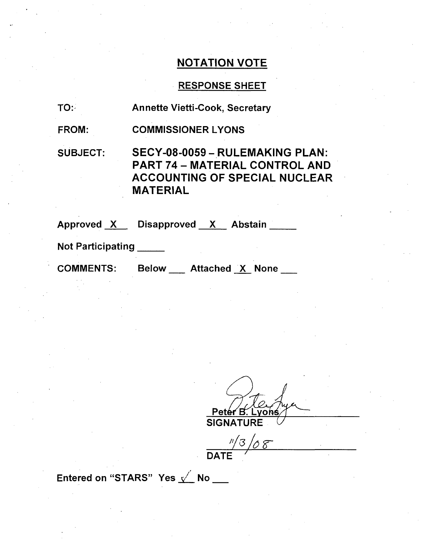# RESPONSE SHEET

| TO: | <b>Annette Vietti-Cook, Secretary</b> |  |
|-----|---------------------------------------|--|
|     |                                       |  |

FROM: COMMISSIONER LYONS

SUBJECT:

SECY-08-0059- RULEMAKING PLAN: PART 74 - MATERIAL CONTROL AND ACCOUNTING OF SPECIAL NUCLEAR MATERIAL

Approved <u>X Disapproved X Abstain</u>

Not Participating **\_**

COMMENTS: Below \_\_ Attached X None

<u>Pet</u> on€ **SIGNATURF** 

**//(3** */6 r*  $\mathsf{DATE}$ 

Entered on "STARS" Yes  $\sqrt{ }$  No  $_{--}$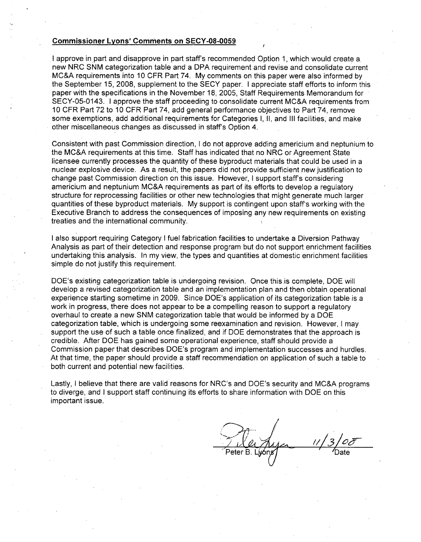#### Commissioner Lyons' Comments on **SECY-08-0059**

I approve in part and disapprove in part staffs recommended Option 1, which would create a. new NRC SNM categorization table and a DPA requirement and revise and consolidate current MC&A requirements into 10 CFR Part 74. My comments on this paper were also informed by the September 15, 2008, supplement to the SECY paper. I appreciate staff efforts to inform this paper with the specifications in the November 18, 2005, Staff Requirements Memorandum for SECY-05-0143. I approve the staff proceeding to consolidate current MC&A requirements from 10 CFR Part 72 to 10 CFR Part 74, add general performance objectives to Part 74, remove some exemptions, add additional requirements for Categories **1, 11,** and **III** facilities, and make other miscellaneous changes as discussed in staff's Option 4.

Consistent with past Commission direction, I do not approve adding americium and neptunium to the MC&A requirements at this time. Staff has indicated that no NRC or Agreement State licensee currently processes the quantity of these byproduct materials that could be used in a nuclear explosive device. As a result, the papers did not provide sufficient new justification to change past Commission direction on this issue. However, I support staff's considering americium and neptunium MC&A requirements as part of its efforts to develop a regulatory structure for reprocessing facilities or other new technologies that might generate much larger quantities of these byproduct materials. My support is contingent upon staff's working with the Executive Branch to address the consequences of imposing any new requirements on existing treaties and the international community.

I also support requiring Category I fuel fabrication facilities to undertake a Diversion Pathway Analysis as part of their detection and response program but do not support enrichment facilities undertaking this analysis. In my view, the types and quantities at domestic enrichment facilities simple do not justify this requirement.

DOE's existing categorization table is undergoing revision. Once this.is complete, DOE will develop a revised categorization table and an implementation plan and then obtain operational experience starting sometime in 2009. Since DOE's application of its categorization table is a work in progress, there does not appear to be a compelling reason to support a regulatory overhaul to create a new SNM categorization table that would be informed by a DOE categorization table, which is undergoing some reexamination and revision. However, I may support the use of such a table once finalized, and if DOE demonstrates that the approach is credible. After DOE has gained some operational experience, staff should provide a Commission paper that describes DOE's program and implementation successes and hurdles. At that time, the paper should provide a staff recommendation on application of such a table to both current and potential new facilities.

Lastly, I believe that there are valid reasons for NRC's and DOE's security and MC&A programs to diverge, and I support staff continuing its efforts to share information with DOE on this important issue.

Peter B. Lwóns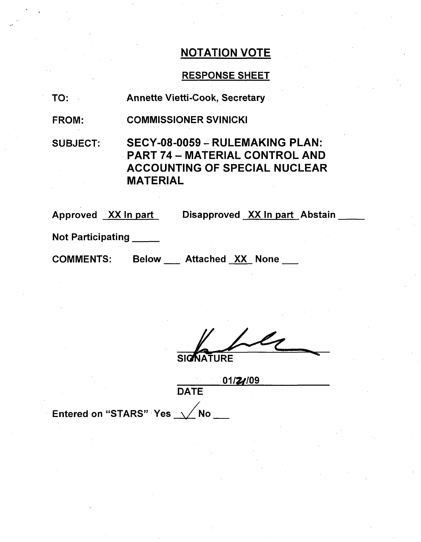## RESPONSE SHEET

TO: Annette Vietti-Cook, Secretary

FROM: COMMISSIONER SVINICKI

SUBJECT: SECY-08-0059 **-** RULEMAKING PLAN: PART 74- MATERIAL CONTROL AND ACCOUNTING OF SPECIAL NUCLEAR MATERIAL

Approved XX In part Disapproved XX In part Abstain

Not Participating

COMMENTS: Below Attached XX None

**NATURE** 

*01174109* **DATE** 

Entered on "STARS" Yes  $\sqrt{}$  No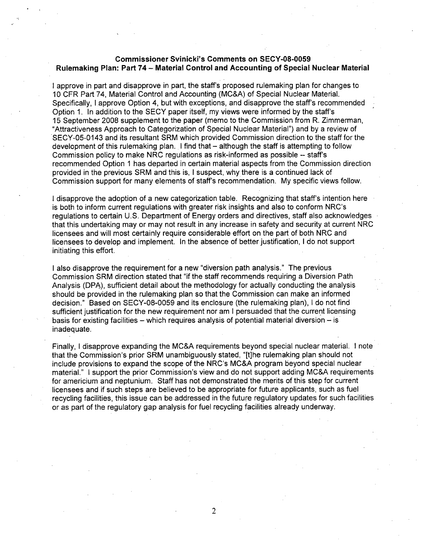#### Commissioner Svinicki's Comments on **SECY-08-0059** Rulemaking Plan: Part 74 - Material Control and Accounting of Special Nuclear Material

I approve in part and disapprove in part, the staff's proposed rulemaking plan for changes to 10 CFR Part 74, Material Control and Accounting (MC&A) of Special Nuclear Material. Specifically, I approve Option 4, but with exceptions, and disapprove the staff's recommended Option 1. In addition to the SECY paper itself, my views were informed by the staff's 15 September 2008 supplement to the paper (memo to the Commission from R. Zimmerman, "Attractiveness Approach to Categorization of Special Nuclear Material") and by a review of SECY-05-0143 and its resultant SRM which provided Commission direction to the staff for the development of this rulemaking plan. I find that – although the staff is attempting to follow Commission policy to make NRC regulations as risk-informed as possible -- staff's recommended Option 1 has departed in certain material aspects from the Commission direction provided in the previous SRM and this is, I suspect, why there is a continued lack of Commission support for many elements of staff's recommendation. My specific views follow.

I disapprove the adoption of a new categorization table. Recognizing that staff's intention here is both to inform current regulations with greater risk insights and also to conform NRC's regulations to certain U.S. Department of Energy orders and directives, staff also acknowledges that this undertaking may or may not result in any increase in safety and security at current NRC licensees and will most certainly require considerable effort on the part of both NRC and licensees to develop and implement. In the absence of better justification, I do not support initiating this effort.

I also disapprove the requirement for a new "diversion path analysis." The previous Commission SRM direction stated that "if the staff recommends requiring a Diversion Path Analysis (DPA), sufficient detail about the methodology for actually conducting the analysis should be provided in the rulemaking plan so that the Commission can make an informed decision." Based on SECY-08-0059 and its enclosure (the rulemaking plan), I do not find sufficient justification for the new requirement nor am I persuaded that the current licensing basis for existing facilities – which requires analysis of potential material diversion – is inadequate.

Finally, I disapprove expanding the MC&A requirements beyond special nuclear material. I note that the Commission's prior SRM unambiguously stated, "[t]he rulemaking plan should not include provisions to expand the scope of the NRC's MC&A program beyond special nuclear material." I support the prior Commission's view and do not support adding MC&A requirements for americium and neptunium. Staff has not demonstrated the merits of this step for current licensees and if such steps are believed to be appropriate for future applicants, such as fuel recycling facilities, this issue can be .addressed in the future regulatory updates for such facilities or as part of the regulatory gap analysis for fuel recycling facilities already underway.

2